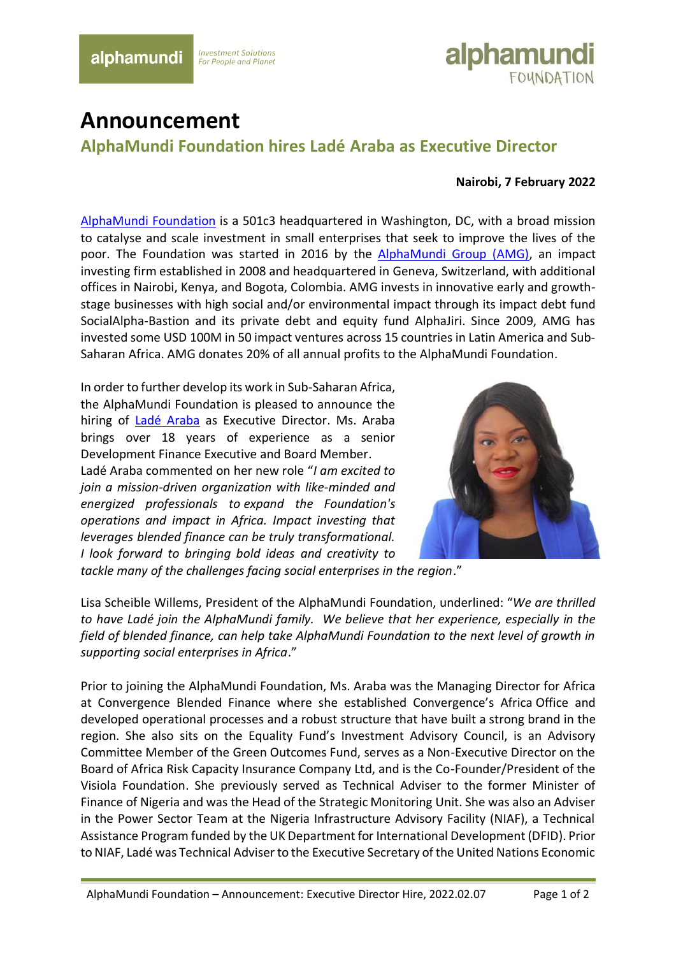## **Investment Solutions For People and Planet**



## **Announcement**

**AlphaMundi Foundation hires Ladé Araba as Executive Director**

## **Nairobi, 7 February 2022**

[AlphaMundi Foundation](https://www.alphamundifoundation.org/) is a 501c3 headquartered in Washington, DC, with a broad mission to catalyse and scale investment in small enterprises that seek to improve the lives of the poor. The Foundation was started in 2016 by the [AlphaMundi Group \(AMG\),](https://www.alphamundigroup.com/) an impact investing firm established in 2008 and headquartered in Geneva, Switzerland, with additional offices in Nairobi, Kenya, and Bogota, Colombia. AMG invests in innovative early and growthstage businesses with high social and/or environmental impact through its impact debt fund SocialAlpha-Bastion and its private debt and equity fund AlphaJiri. Since 2009, AMG has invested some USD 100M in 50 impact ventures across 15 countries in Latin America and Sub-Saharan Africa. AMG donates 20% of all annual profits to the AlphaMundi Foundation.

In order to further develop its work in Sub-Saharan Africa, the AlphaMundi Foundation is pleased to announce the hiring of [Ladé Araba](https://www.linkedin.com/in/lad%C3%A9-araba/) as Executive Director. Ms. Araba brings over 18 years of experience as a senior Development Finance Executive and Board Member. Ladé Araba commented on her new role "*I am excited to join a mission-driven organization with like-minded and energized professionals to expand the Foundation's operations and impact in Africa. Impact investing that leverages blended finance can be truly transformational. I look forward to bringing bold ideas and creativity to* 



*tackle many of the challenges facing social enterprises in the region*."

Lisa Scheible Willems, President of the AlphaMundi Foundation, underlined: "*We are thrilled to have Ladé join the AlphaMundi family. We believe that her experience, especially in the field of blended finance, can help take AlphaMundi Foundation to the next level of growth in supporting social enterprises in Africa*."

Prior to joining the AlphaMundi Foundation, Ms. Araba was the Managing Director for Africa at Convergence Blended Finance where she established Convergence's Africa Office and developed operational processes and a robust structure that have built a strong brand in the region. She also sits on the Equality Fund's Investment Advisory Council, is an Advisory Committee Member of the Green Outcomes Fund, serves as a Non-Executive Director on the Board of Africa Risk Capacity Insurance Company Ltd, and is the Co-Founder/President of the Visiola Foundation. She previously served as Technical Adviser to the former Minister of Finance of Nigeria and was the Head of the Strategic Monitoring Unit. She was also an Adviser in the Power Sector Team at the Nigeria Infrastructure Advisory Facility (NIAF), a Technical Assistance Program funded by the UK Department for International Development (DFID). Prior to NIAF, Ladé was Technical Adviser to the Executive Secretary of the United Nations Economic